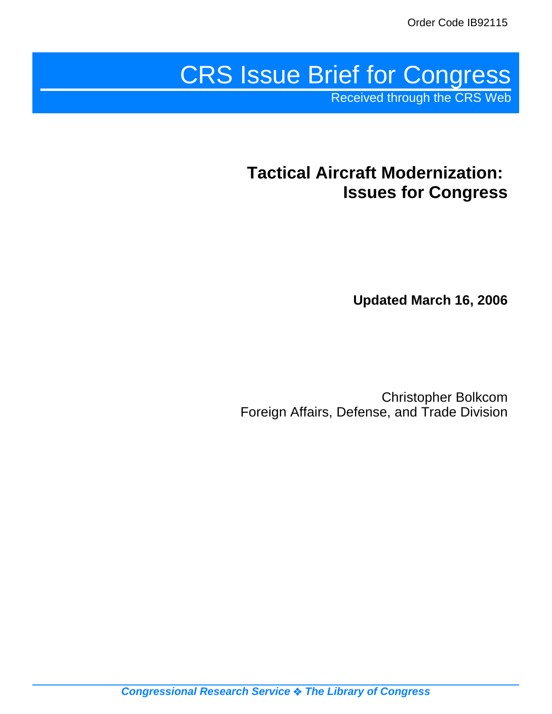# CRS Issue Brief for Congress

Received through the CRS Web

# **Tactical Aircraft Modernization: Issues for Congress**

**Updated March 16, 2006**

Christopher Bolkcom Foreign Affairs, Defense, and Trade Division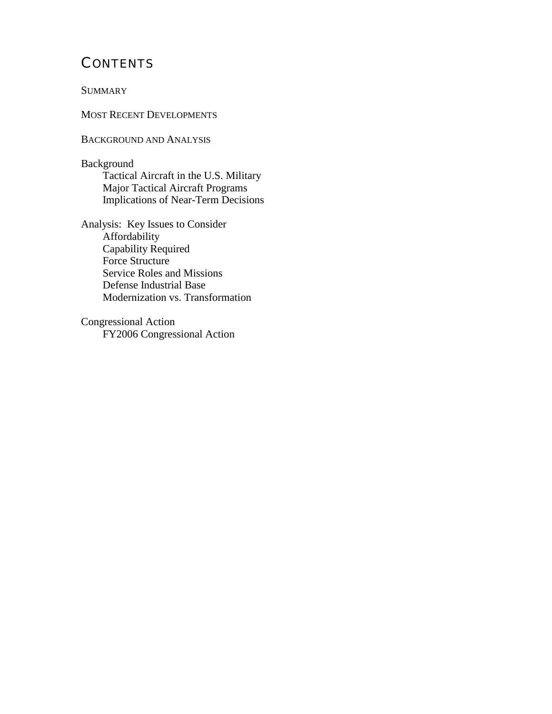# **CONTENTS**

**SUMMARY** 

MOST RECENT DEVELOPMENTS

BACKGROUND AND ANALYSIS

Background Tactical Aircraft in the U.S. Military Major Tactical Aircraft Programs Implications of Near-Term Decisions

Analysis: Key Issues to Consider Affordability Capability Required Force Structure Service Roles and Missions Defense Industrial Base Modernization vs. Transformation

Congressional Action FY2006 Congressional Action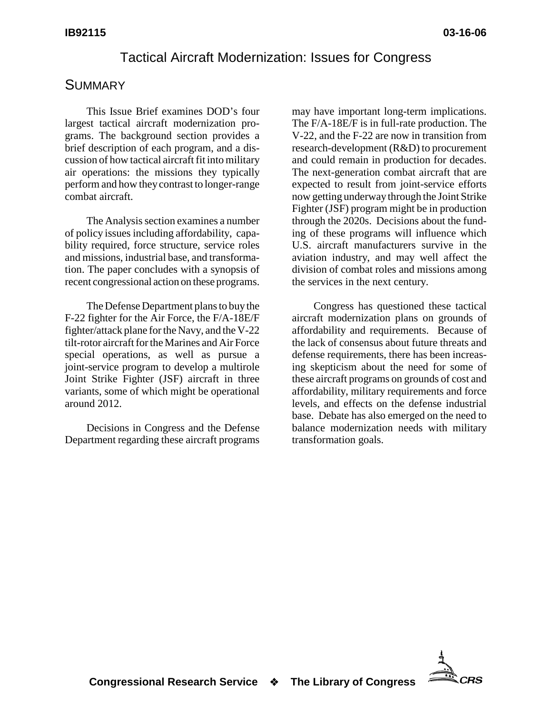## Tactical Aircraft Modernization: Issues for Congress

## **SUMMARY**

This Issue Brief examines DOD's four largest tactical aircraft modernization programs. The background section provides a brief description of each program, and a discussion of how tactical aircraft fit into military air operations: the missions they typically perform and how they contrast to longer-range combat aircraft.

The Analysis section examines a number of policy issues including affordability, capability required, force structure, service roles and missions, industrial base, and transformation. The paper concludes with a synopsis of recent congressional action on these programs.

The Defense Department plans to buy the F-22 fighter for the Air Force, the F/A-18E/F fighter/attack plane for the Navy, and the V-22 tilt-rotor aircraft for the Marines and Air Force special operations, as well as pursue a joint-service program to develop a multirole Joint Strike Fighter (JSF) aircraft in three variants, some of which might be operational around 2012.

Decisions in Congress and the Defense Department regarding these aircraft programs

may have important long-term implications. The F/A-18E/F is in full-rate production. The V-22, and the F-22 are now in transition from research-development (R&D) to procurement and could remain in production for decades. The next-generation combat aircraft that are expected to result from joint-service efforts now getting underway through the Joint Strike Fighter (JSF) program might be in production through the 2020s. Decisions about the funding of these programs will influence which U.S. aircraft manufacturers survive in the aviation industry, and may well affect the division of combat roles and missions among the services in the next century.

Congress has questioned these tactical aircraft modernization plans on grounds of affordability and requirements. Because of the lack of consensus about future threats and defense requirements, there has been increasing skepticism about the need for some of these aircraft programs on grounds of cost and affordability, military requirements and force levels, and effects on the defense industrial base. Debate has also emerged on the need to balance modernization needs with military transformation goals.

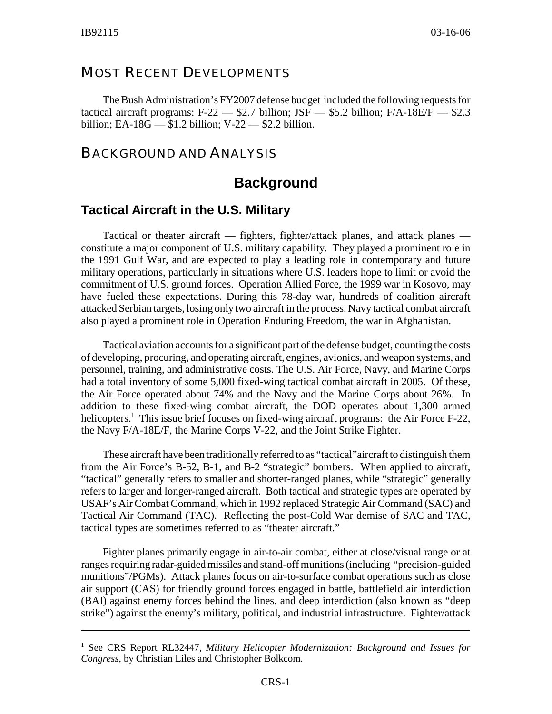#### MOST RECENT DEVELOPMENTS

The Bush Administration's FY2007 defense budget included the following requests for tactical aircraft programs:  $F-22 = $2.7$  billion;  $JSF = $5.2$  billion;  $F/A-18E/F = $2.3$ billion; EA-18G  $-$  \$1.2 billion; V-22  $-$  \$2.2 billion.

#### BACKGROUND AND ANALYSIS

## **Background**

#### **Tactical Aircraft in the U.S. Military**

Tactical or theater aircraft — fighters, fighter/attack planes, and attack planes constitute a major component of U.S. military capability. They played a prominent role in the 1991 Gulf War, and are expected to play a leading role in contemporary and future military operations, particularly in situations where U.S. leaders hope to limit or avoid the commitment of U.S. ground forces. Operation Allied Force, the 1999 war in Kosovo, may have fueled these expectations. During this 78-day war, hundreds of coalition aircraft attacked Serbian targets, losing only two aircraft in the process. Navy tactical combat aircraft also played a prominent role in Operation Enduring Freedom, the war in Afghanistan.

Tactical aviation accounts for a significant part of the defense budget, counting the costs of developing, procuring, and operating aircraft, engines, avionics, and weapon systems, and personnel, training, and administrative costs. The U.S. Air Force, Navy, and Marine Corps had a total inventory of some 5,000 fixed-wing tactical combat aircraft in 2005. Of these, the Air Force operated about 74% and the Navy and the Marine Corps about 26%. In addition to these fixed-wing combat aircraft, the DOD operates about 1,300 armed helicopters.<sup>1</sup> This issue brief focuses on fixed-wing aircraft programs: the Air Force F-22, the Navy F/A-18E/F, the Marine Corps V-22, and the Joint Strike Fighter.

These aircraft have been traditionally referred to as "tactical"aircraft to distinguish them from the Air Force's B-52, B-1, and B-2 "strategic" bombers. When applied to aircraft, "tactical" generally refers to smaller and shorter-ranged planes, while "strategic" generally refers to larger and longer-ranged aircraft. Both tactical and strategic types are operated by USAF's Air Combat Command, which in 1992 replaced Strategic Air Command (SAC) and Tactical Air Command (TAC). Reflecting the post-Cold War demise of SAC and TAC, tactical types are sometimes referred to as "theater aircraft."

Fighter planes primarily engage in air-to-air combat, either at close/visual range or at ranges requiring radar-guided missiles and stand-off munitions (including "precision-guided munitions"/PGMs). Attack planes focus on air-to-surface combat operations such as close air support (CAS) for friendly ground forces engaged in battle, battlefield air interdiction (BAI) against enemy forces behind the lines, and deep interdiction (also known as "deep strike") against the enemy's military, political, and industrial infrastructure. Fighter/attack

<sup>&</sup>lt;sup>1</sup> See CRS Report RL32447, Military Helicopter Modernization: Background and Issues for *Congress*, by Christian Liles and Christopher Bolkcom.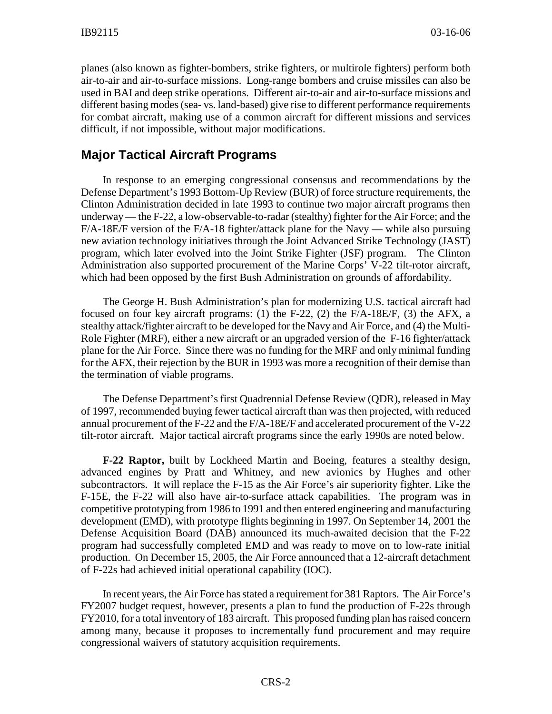planes (also known as fighter-bombers, strike fighters, or multirole fighters) perform both air-to-air and air-to-surface missions. Long-range bombers and cruise missiles can also be used in BAI and deep strike operations. Different air-to-air and air-to-surface missions and different basing modes (sea- vs. land-based) give rise to different performance requirements for combat aircraft, making use of a common aircraft for different missions and services difficult, if not impossible, without major modifications.

#### **Major Tactical Aircraft Programs**

In response to an emerging congressional consensus and recommendations by the Defense Department's 1993 Bottom-Up Review (BUR) of force structure requirements, the Clinton Administration decided in late 1993 to continue two major aircraft programs then underway — the F-22, a low-observable-to-radar (stealthy) fighter for the Air Force; and the  $F/A-18E/F$  version of the  $F/A-18$  fighter/attack plane for the Navy — while also pursuing new aviation technology initiatives through the Joint Advanced Strike Technology (JAST) program, which later evolved into the Joint Strike Fighter (JSF) program. The Clinton Administration also supported procurement of the Marine Corps' V-22 tilt-rotor aircraft, which had been opposed by the first Bush Administration on grounds of affordability.

The George H. Bush Administration's plan for modernizing U.S. tactical aircraft had focused on four key aircraft programs: (1) the F-22, (2) the F/A-18E/F, (3) the AFX, a stealthy attack/fighter aircraft to be developed for the Navy and Air Force, and (4) the Multi-Role Fighter (MRF), either a new aircraft or an upgraded version of the F-16 fighter/attack plane for the Air Force. Since there was no funding for the MRF and only minimal funding for the AFX, their rejection by the BUR in 1993 was more a recognition of their demise than the termination of viable programs.

The Defense Department's first Quadrennial Defense Review (QDR), released in May of 1997, recommended buying fewer tactical aircraft than was then projected, with reduced annual procurement of the F-22 and the F/A-18E/F and accelerated procurement of the V-22 tilt-rotor aircraft. Major tactical aircraft programs since the early 1990s are noted below.

**F-22 Raptor,** built by Lockheed Martin and Boeing, features a stealthy design, advanced engines by Pratt and Whitney, and new avionics by Hughes and other subcontractors. It will replace the F-15 as the Air Force's air superiority fighter. Like the F-15E, the F-22 will also have air-to-surface attack capabilities. The program was in competitive prototyping from 1986 to 1991 and then entered engineering and manufacturing development (EMD), with prototype flights beginning in 1997. On September 14, 2001 the Defense Acquisition Board (DAB) announced its much-awaited decision that the F-22 program had successfully completed EMD and was ready to move on to low-rate initial production. On December 15, 2005, the Air Force announced that a 12-aircraft detachment of F-22s had achieved initial operational capability (IOC).

In recent years, the Air Force has stated a requirement for 381 Raptors. The Air Force's FY2007 budget request, however, presents a plan to fund the production of F-22s through FY2010, for a total inventory of 183 aircraft. This proposed funding plan has raised concern among many, because it proposes to incrementally fund procurement and may require congressional waivers of statutory acquisition requirements.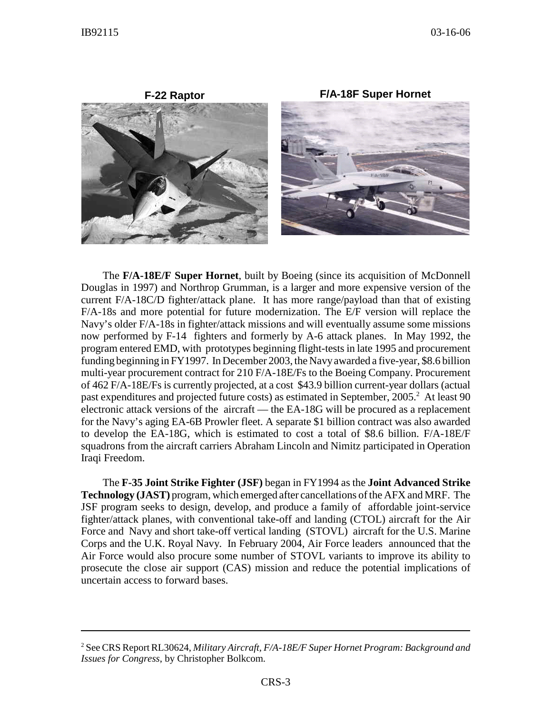

The **F/A-18E/F Super Hornet**, built by Boeing (since its acquisition of McDonnell Douglas in 1997) and Northrop Grumman, is a larger and more expensive version of the current F/A-18C/D fighter/attack plane. It has more range/payload than that of existing F/A-18s and more potential for future modernization. The E/F version will replace the Navy's older F/A-18s in fighter/attack missions and will eventually assume some missions now performed by F-14 fighters and formerly by A-6 attack planes. In May 1992, the program entered EMD, with prototypes beginning flight-tests in late 1995 and procurement funding beginning in FY1997. In December 2003, the Navy awarded a five-year, \$8.6 billion multi-year procurement contract for 210 F/A-18E/Fs to the Boeing Company. Procurement of 462 F/A-18E/Fs is currently projected, at a cost \$43.9 billion current-year dollars (actual past expenditures and projected future costs) as estimated in September, 2005.<sup>2</sup> At least 90 electronic attack versions of the aircraft — the EA-18G will be procured as a replacement for the Navy's aging EA-6B Prowler fleet. A separate \$1 billion contract was also awarded to develop the EA-18G, which is estimated to cost a total of \$8.6 billion. F/A-18E/F squadrons from the aircraft carriers Abraham Lincoln and Nimitz participated in Operation Iraqi Freedom.

The **F-35 Joint Strike Fighter (JSF)** began in FY1994 as the **Joint Advanced Strike Technology (JAST)** program, which emerged after cancellations of the AFX and MRF. The JSF program seeks to design, develop, and produce a family of affordable joint-service fighter/attack planes, with conventional take-off and landing (CTOL) aircraft for the Air Force and Navy and short take-off vertical landing (STOVL) aircraft for the U.S. Marine Corps and the U.K. Royal Navy. In February 2004, Air Force leaders announced that the Air Force would also procure some number of STOVL variants to improve its ability to prosecute the close air support (CAS) mission and reduce the potential implications of uncertain access to forward bases.

<sup>2</sup> See CRS Report RL30624, *Military Aircraft, F/A-18E/F Super Hornet Program: Background and Issues for Congress*, by Christopher Bolkcom.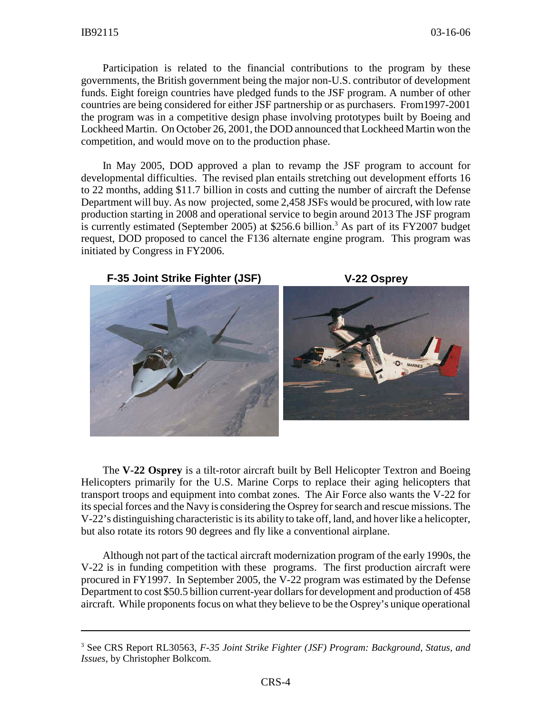Participation is related to the financial contributions to the program by these governments, the British government being the major non-U.S. contributor of development funds. Eight foreign countries have pledged funds to the JSF program. A number of other countries are being considered for either JSF partnership or as purchasers. From1997-2001 the program was in a competitive design phase involving prototypes built by Boeing and Lockheed Martin. On October 26, 2001, the DOD announced that Lockheed Martin won the competition, and would move on to the production phase.

In May 2005, DOD approved a plan to revamp the JSF program to account for developmental difficulties. The revised plan entails stretching out development efforts 16 to 22 months, adding \$11.7 billion in costs and cutting the number of aircraft the Defense Department will buy. As now projected, some 2,458 JSFs would be procured, with low rate production starting in 2008 and operational service to begin around 2013 The JSF program is currently estimated (September 2005) at \$256.6 billion.<sup>3</sup> As part of its FY2007 budget request, DOD proposed to cancel the F136 alternate engine program. This program was initiated by Congress in FY2006.



The **V-22 Osprey** is a tilt-rotor aircraft built by Bell Helicopter Textron and Boeing Helicopters primarily for the U.S. Marine Corps to replace their aging helicopters that transport troops and equipment into combat zones. The Air Force also wants the V-22 for its special forces and the Navy is considering the Osprey for search and rescue missions. The V-22's distinguishing characteristic is its ability to take off, land, and hover like a helicopter, but also rotate its rotors 90 degrees and fly like a conventional airplane.

Although not part of the tactical aircraft modernization program of the early 1990s, the V-22 is in funding competition with these programs. The first production aircraft were procured in FY1997. In September 2005, the V-22 program was estimated by the Defense Department to cost \$50.5 billion current-year dollars for development and production of 458 aircraft. While proponents focus on what they believe to be the Osprey's unique operational

<sup>3</sup> See CRS Report RL30563, *F-35 Joint Strike Fighter (JSF) Program: Background, Status, and Issues*, by Christopher Bolkcom.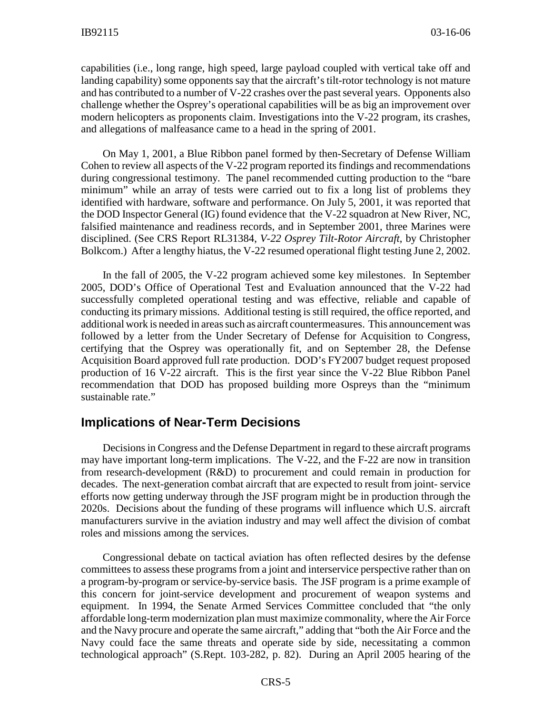capabilities (i.e., long range, high speed, large payload coupled with vertical take off and landing capability) some opponents say that the aircraft's tilt-rotor technology is not mature and has contributed to a number of V-22 crashes over the past several years. Opponents also challenge whether the Osprey's operational capabilities will be as big an improvement over modern helicopters as proponents claim. Investigations into the V-22 program, its crashes, and allegations of malfeasance came to a head in the spring of 2001.

On May 1, 2001, a Blue Ribbon panel formed by then-Secretary of Defense William Cohen to review all aspects of the V-22 program reported its findings and recommendations during congressional testimony. The panel recommended cutting production to the "bare minimum" while an array of tests were carried out to fix a long list of problems they identified with hardware, software and performance. On July 5, 2001, it was reported that the DOD Inspector General (IG) found evidence that the V-22 squadron at New River, NC, falsified maintenance and readiness records, and in September 2001, three Marines were disciplined. (See CRS Report RL31384, *V-22 Osprey Tilt-Rotor Aircraft*, by Christopher Bolkcom.) After a lengthy hiatus, the V-22 resumed operational flight testing June 2, 2002.

In the fall of 2005, the V-22 program achieved some key milestones. In September 2005, DOD's Office of Operational Test and Evaluation announced that the V-22 had successfully completed operational testing and was effective, reliable and capable of conducting its primary missions. Additional testing is still required, the office reported, and additional work is needed in areas such as aircraft countermeasures. This announcement was followed by a letter from the Under Secretary of Defense for Acquisition to Congress, certifying that the Osprey was operationally fit, and on September 28, the Defense Acquisition Board approved full rate production. DOD's FY2007 budget request proposed production of 16 V-22 aircraft. This is the first year since the V-22 Blue Ribbon Panel recommendation that DOD has proposed building more Ospreys than the "minimum sustainable rate."

#### **Implications of Near-Term Decisions**

Decisions in Congress and the Defense Department in regard to these aircraft programs may have important long-term implications. The V-22, and the  $F-22$  are now in transition from research-development (R&D) to procurement and could remain in production for decades. The next-generation combat aircraft that are expected to result from joint- service efforts now getting underway through the JSF program might be in production through the 2020s. Decisions about the funding of these programs will influence which U.S. aircraft manufacturers survive in the aviation industry and may well affect the division of combat roles and missions among the services.

Congressional debate on tactical aviation has often reflected desires by the defense committees to assess these programs from a joint and interservice perspective rather than on a program-by-program or service-by-service basis. The JSF program is a prime example of this concern for joint-service development and procurement of weapon systems and equipment. In 1994, the Senate Armed Services Committee concluded that "the only affordable long-term modernization plan must maximize commonality, where the Air Force and the Navy procure and operate the same aircraft," adding that "both the Air Force and the Navy could face the same threats and operate side by side, necessitating a common technological approach" (S.Rept. 103-282, p. 82). During an April 2005 hearing of the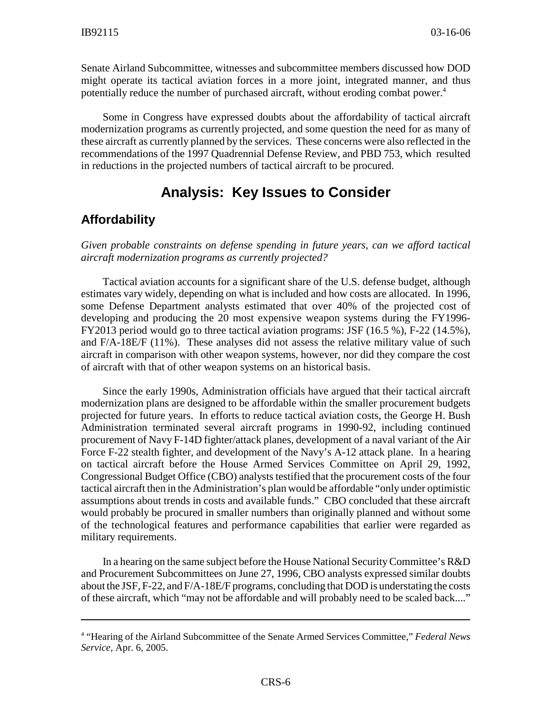Senate Airland Subcommittee, witnesses and subcommittee members discussed how DOD might operate its tactical aviation forces in a more joint, integrated manner, and thus potentially reduce the number of purchased aircraft, without eroding combat power.<sup>4</sup>

Some in Congress have expressed doubts about the affordability of tactical aircraft modernization programs as currently projected, and some question the need for as many of these aircraft as currently planned by the services. These concerns were also reflected in the recommendations of the 1997 Quadrennial Defense Review, and PBD 753, which resulted in reductions in the projected numbers of tactical aircraft to be procured.

# **Analysis: Key Issues to Consider**

## **Affordability**

*Given probable constraints on defense spending in future years, can we afford tactical aircraft modernization programs as currently projected?*

Tactical aviation accounts for a significant share of the U.S. defense budget, although estimates vary widely, depending on what is included and how costs are allocated. In 1996, some Defense Department analysts estimated that over 40% of the projected cost of developing and producing the 20 most expensive weapon systems during the FY1996- FY2013 period would go to three tactical aviation programs: JSF (16.5 %), F-22 (14.5%), and F/A-18E/F (11%). These analyses did not assess the relative military value of such aircraft in comparison with other weapon systems, however, nor did they compare the cost of aircraft with that of other weapon systems on an historical basis.

Since the early 1990s, Administration officials have argued that their tactical aircraft modernization plans are designed to be affordable within the smaller procurement budgets projected for future years. In efforts to reduce tactical aviation costs, the George H. Bush Administration terminated several aircraft programs in 1990-92, including continued procurement of Navy F-14D fighter/attack planes, development of a naval variant of the Air Force F-22 stealth fighter, and development of the Navy's A-12 attack plane. In a hearing on tactical aircraft before the House Armed Services Committee on April 29, 1992, Congressional Budget Office (CBO) analysts testified that the procurement costs of the four tactical aircraft then in the Administration's plan would be affordable "only under optimistic assumptions about trends in costs and available funds." CBO concluded that these aircraft would probably be procured in smaller numbers than originally planned and without some of the technological features and performance capabilities that earlier were regarded as military requirements.

In a hearing on the same subject before the House National Security Committee's R&D and Procurement Subcommittees on June 27, 1996, CBO analysts expressed similar doubts about the JSF, F-22, and F/A-18E/F programs, concluding that DOD is understating the costs of these aircraft, which "may not be affordable and will probably need to be scaled back...."

<sup>4</sup> "Hearing of the Airland Subcommittee of the Senate Armed Services Committee," *Federal News Service,* Apr. 6, 2005.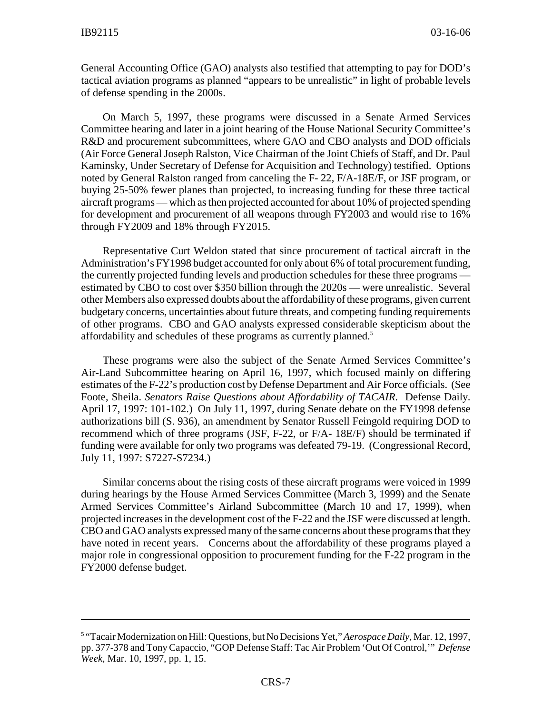General Accounting Office (GAO) analysts also testified that attempting to pay for DOD's tactical aviation programs as planned "appears to be unrealistic" in light of probable levels of defense spending in the 2000s.

On March 5, 1997, these programs were discussed in a Senate Armed Services Committee hearing and later in a joint hearing of the House National Security Committee's R&D and procurement subcommittees, where GAO and CBO analysts and DOD officials (Air Force General Joseph Ralston, Vice Chairman of the Joint Chiefs of Staff, and Dr. Paul Kaminsky, Under Secretary of Defense for Acquisition and Technology) testified. Options noted by General Ralston ranged from canceling the F- 22, F/A-18E/F, or JSF program, or buying 25-50% fewer planes than projected, to increasing funding for these three tactical aircraft programs — which as then projected accounted for about 10% of projected spending for development and procurement of all weapons through FY2003 and would rise to 16% through FY2009 and 18% through FY2015.

Representative Curt Weldon stated that since procurement of tactical aircraft in the Administration's FY1998 budget accounted for only about 6% of total procurement funding, the currently projected funding levels and production schedules for these three programs estimated by CBO to cost over \$350 billion through the 2020s — were unrealistic. Several other Members also expressed doubts about the affordability of these programs, given current budgetary concerns, uncertainties about future threats, and competing funding requirements of other programs. CBO and GAO analysts expressed considerable skepticism about the affordability and schedules of these programs as currently planned.<sup>5</sup>

These programs were also the subject of the Senate Armed Services Committee's Air-Land Subcommittee hearing on April 16, 1997, which focused mainly on differing estimates of the F-22's production cost by Defense Department and Air Force officials. (See Foote, Sheila. *Senators Raise Questions about Affordability of TACAIR.* Defense Daily. April 17, 1997: 101-102.) On July 11, 1997, during Senate debate on the FY1998 defense authorizations bill (S. 936), an amendment by Senator Russell Feingold requiring DOD to recommend which of three programs (JSF, F-22, or F/A- 18E/F) should be terminated if funding were available for only two programs was defeated 79-19. (Congressional Record, July 11, 1997: S7227-S7234.)

Similar concerns about the rising costs of these aircraft programs were voiced in 1999 during hearings by the House Armed Services Committee (March 3, 1999) and the Senate Armed Services Committee's Airland Subcommittee (March 10 and 17, 1999), when projected increases in the development cost of the F-22 and the JSF were discussed at length. CBO and GAO analysts expressed many of the same concerns about these programs that they have noted in recent years. Concerns about the affordability of these programs played a major role in congressional opposition to procurement funding for the F-22 program in the FY2000 defense budget.

<sup>&</sup>lt;sup>5</sup> "Tacair Modernization on Hill: Questions, but No Decisions Yet," Aerospace Daily, Mar. 12, 1997, pp. 377-378 and Tony Capaccio, "GOP Defense Staff: Tac Air Problem 'Out Of Control,'" *Defense Week*, Mar. 10, 1997, pp. 1, 15.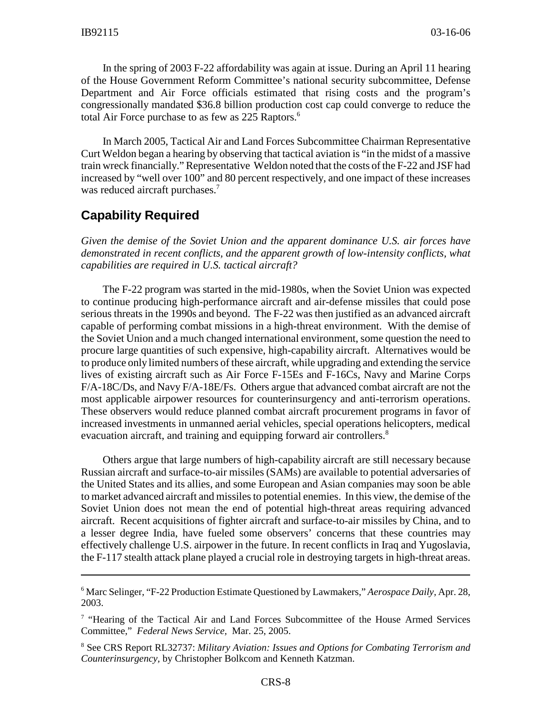In the spring of 2003 F-22 affordability was again at issue. During an April 11 hearing of the House Government Reform Committee's national security subcommittee, Defense Department and Air Force officials estimated that rising costs and the program's congressionally mandated \$36.8 billion production cost cap could converge to reduce the total Air Force purchase to as few as 225 Raptors.<sup>6</sup>

In March 2005, Tactical Air and Land Forces Subcommittee Chairman Representative Curt Weldon began a hearing by observing that tactical aviation is "in the midst of a massive train wreck financially." Representative Weldon noted that the costs of the F-22 and JSF had increased by "well over 100" and 80 percent respectively, and one impact of these increases was reduced aircraft purchases.<sup>7</sup>

## **Capability Required**

*Given the demise of the Soviet Union and the apparent dominance U.S. air forces have demonstrated in recent conflicts, and the apparent growth of low-intensity conflicts, what capabilities are required in U.S. tactical aircraft?*

The F-22 program was started in the mid-1980s, when the Soviet Union was expected to continue producing high-performance aircraft and air-defense missiles that could pose serious threats in the 1990s and beyond. The F-22 was then justified as an advanced aircraft capable of performing combat missions in a high-threat environment. With the demise of the Soviet Union and a much changed international environment, some question the need to procure large quantities of such expensive, high-capability aircraft. Alternatives would be to produce only limited numbers of these aircraft, while upgrading and extending the service lives of existing aircraft such as Air Force F-15Es and F-16Cs, Navy and Marine Corps F/A-18C/Ds, and Navy F/A-18E/Fs. Others argue that advanced combat aircraft are not the most applicable airpower resources for counterinsurgency and anti-terrorism operations. These observers would reduce planned combat aircraft procurement programs in favor of increased investments in unmanned aerial vehicles, special operations helicopters, medical evacuation aircraft, and training and equipping forward air controllers.<sup>8</sup>

Others argue that large numbers of high-capability aircraft are still necessary because Russian aircraft and surface-to-air missiles (SAMs) are available to potential adversaries of the United States and its allies, and some European and Asian companies may soon be able to market advanced aircraft and missiles to potential enemies. In this view, the demise of the Soviet Union does not mean the end of potential high-threat areas requiring advanced aircraft. Recent acquisitions of fighter aircraft and surface-to-air missiles by China, and to a lesser degree India, have fueled some observers' concerns that these countries may effectively challenge U.S. airpower in the future. In recent conflicts in Iraq and Yugoslavia, the F-117 stealth attack plane played a crucial role in destroying targets in high-threat areas.

<sup>6</sup> Marc Selinger, "F-22 Production Estimate Questioned by Lawmakers," *Aerospace Daily,* Apr. 28, 2003.

<sup>&</sup>lt;sup>7</sup> "Hearing of the Tactical Air and Land Forces Subcommittee of the House Armed Services Committee," *Federal News Service,* Mar. 25, 2005.

<sup>8</sup> See CRS Report RL32737: *Military Aviation: Issues and Options for Combating Terrorism and Counterinsurgency,* by Christopher Bolkcom and Kenneth Katzman.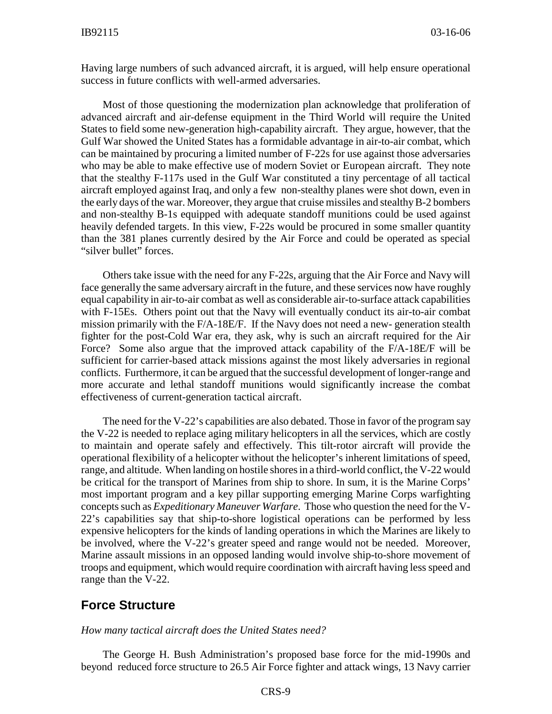Having large numbers of such advanced aircraft, it is argued, will help ensure operational success in future conflicts with well-armed adversaries.

Most of those questioning the modernization plan acknowledge that proliferation of advanced aircraft and air-defense equipment in the Third World will require the United States to field some new-generation high-capability aircraft. They argue, however, that the Gulf War showed the United States has a formidable advantage in air-to-air combat, which can be maintained by procuring a limited number of F-22s for use against those adversaries who may be able to make effective use of modern Soviet or European aircraft. They note that the stealthy F-117s used in the Gulf War constituted a tiny percentage of all tactical aircraft employed against Iraq, and only a few non-stealthy planes were shot down, even in the early days of the war. Moreover, they argue that cruise missiles and stealthy B-2 bombers and non-stealthy B-1s equipped with adequate standoff munitions could be used against heavily defended targets. In this view, F-22s would be procured in some smaller quantity than the 381 planes currently desired by the Air Force and could be operated as special "silver bullet" forces.

Others take issue with the need for any F-22s, arguing that the Air Force and Navy will face generally the same adversary aircraft in the future, and these services now have roughly equal capability in air-to-air combat as well as considerable air-to-surface attack capabilities with F-15Es. Others point out that the Navy will eventually conduct its air-to-air combat mission primarily with the F/A-18E/F. If the Navy does not need a new- generation stealth fighter for the post-Cold War era, they ask, why is such an aircraft required for the Air Force? Some also argue that the improved attack capability of the F/A-18E/F will be sufficient for carrier-based attack missions against the most likely adversaries in regional conflicts. Furthermore, it can be argued that the successful development of longer-range and more accurate and lethal standoff munitions would significantly increase the combat effectiveness of current-generation tactical aircraft.

The need for the V-22's capabilities are also debated. Those in favor of the program say the V-22 is needed to replace aging military helicopters in all the services, which are costly to maintain and operate safely and effectively. This tilt-rotor aircraft will provide the operational flexibility of a helicopter without the helicopter's inherent limitations of speed, range, and altitude. When landing on hostile shores in a third-world conflict, the V-22 would be critical for the transport of Marines from ship to shore. In sum, it is the Marine Corps' most important program and a key pillar supporting emerging Marine Corps warfighting concepts such as *Expeditionary Maneuver Warfare*. Those who question the need for the V-22's capabilities say that ship-to-shore logistical operations can be performed by less expensive helicopters for the kinds of landing operations in which the Marines are likely to be involved, where the V-22's greater speed and range would not be needed. Moreover, Marine assault missions in an opposed landing would involve ship-to-shore movement of troops and equipment, which would require coordination with aircraft having less speed and range than the V-22.

## **Force Structure**

#### *How many tactical aircraft does the United States need?*

The George H. Bush Administration's proposed base force for the mid-1990s and beyond reduced force structure to 26.5 Air Force fighter and attack wings, 13 Navy carrier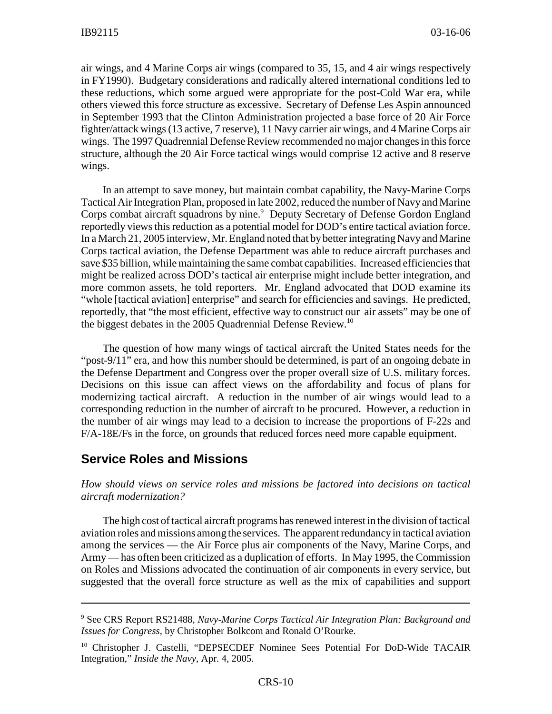air wings, and 4 Marine Corps air wings (compared to 35, 15, and 4 air wings respectively in FY1990). Budgetary considerations and radically altered international conditions led to these reductions, which some argued were appropriate for the post-Cold War era, while others viewed this force structure as excessive. Secretary of Defense Les Aspin announced in September 1993 that the Clinton Administration projected a base force of 20 Air Force fighter/attack wings (13 active, 7 reserve), 11 Navy carrier air wings, and 4 Marine Corps air wings. The 1997 Quadrennial Defense Review recommended no major changes in this force structure, although the 20 Air Force tactical wings would comprise 12 active and 8 reserve wings.

In an attempt to save money, but maintain combat capability, the Navy-Marine Corps Tactical Air Integration Plan, proposed in late 2002, reduced the number of Navy and Marine Corps combat aircraft squadrons by nine.<sup>9</sup> Deputy Secretary of Defense Gordon England reportedly views this reduction as a potential model for DOD's entire tactical aviation force. In a March 21, 2005 interview, Mr. England noted that by better integrating Navy and Marine Corps tactical aviation, the Defense Department was able to reduce aircraft purchases and save \$35 billion, while maintaining the same combat capabilities. Increased efficiencies that might be realized across DOD's tactical air enterprise might include better integration, and more common assets, he told reporters. Mr. England advocated that DOD examine its "whole [tactical aviation] enterprise" and search for efficiencies and savings. He predicted, reportedly, that "the most efficient, effective way to construct our air assets" may be one of the biggest debates in the 2005 Quadrennial Defense Review.<sup>10</sup>

The question of how many wings of tactical aircraft the United States needs for the "post-9/11" era, and how this number should be determined, is part of an ongoing debate in the Defense Department and Congress over the proper overall size of U.S. military forces. Decisions on this issue can affect views on the affordability and focus of plans for modernizing tactical aircraft. A reduction in the number of air wings would lead to a corresponding reduction in the number of aircraft to be procured. However, a reduction in the number of air wings may lead to a decision to increase the proportions of F-22s and F/A-18E/Fs in the force, on grounds that reduced forces need more capable equipment.

#### **Service Roles and Missions**

*How should views on service roles and missions be factored into decisions on tactical aircraft modernization?*

The high cost of tactical aircraft programs has renewed interest in the division of tactical aviation roles and missions among the services. The apparent redundancy in tactical aviation among the services — the Air Force plus air components of the Navy, Marine Corps, and Army — has often been criticized as a duplication of efforts. In May 1995, the Commission on Roles and Missions advocated the continuation of air components in every service, but suggested that the overall force structure as well as the mix of capabilities and support

<sup>9</sup> See CRS Report RS21488, *Navy-Marine Corps Tactical Air Integration Plan: Background and Issues for Congress*, by Christopher Bolkcom and Ronald O'Rourke.

<sup>&</sup>lt;sup>10</sup> Christopher J. Castelli, "DEPSECDEF Nominee Sees Potential For DoD-Wide TACAIR Integration," *Inside the Navy,* Apr. 4, 2005.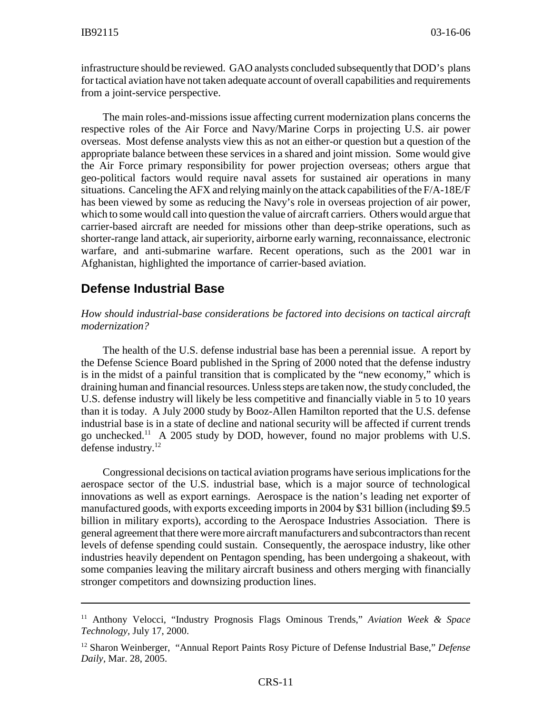infrastructure should be reviewed. GAO analysts concluded subsequently that DOD's plans for tactical aviation have not taken adequate account of overall capabilities and requirements from a joint-service perspective.

The main roles-and-missions issue affecting current modernization plans concerns the respective roles of the Air Force and Navy/Marine Corps in projecting U.S. air power overseas. Most defense analysts view this as not an either-or question but a question of the appropriate balance between these services in a shared and joint mission. Some would give the Air Force primary responsibility for power projection overseas; others argue that geo-political factors would require naval assets for sustained air operations in many situations. Canceling the AFX and relying mainly on the attack capabilities of the  $F/A-18E/F$ has been viewed by some as reducing the Navy's role in overseas projection of air power, which to some would call into question the value of aircraft carriers. Others would argue that carrier-based aircraft are needed for missions other than deep-strike operations, such as shorter-range land attack, air superiority, airborne early warning, reconnaissance, electronic warfare, and anti-submarine warfare. Recent operations, such as the 2001 war in Afghanistan, highlighted the importance of carrier-based aviation.

#### **Defense Industrial Base**

#### *How should industrial-base considerations be factored into decisions on tactical aircraft modernization?*

The health of the U.S. defense industrial base has been a perennial issue. A report by the Defense Science Board published in the Spring of 2000 noted that the defense industry is in the midst of a painful transition that is complicated by the "new economy," which is draining human and financial resources. Unless steps are taken now, the study concluded, the U.S. defense industry will likely be less competitive and financially viable in 5 to 10 years than it is today. A July 2000 study by Booz-Allen Hamilton reported that the U.S. defense industrial base is in a state of decline and national security will be affected if current trends go unchecked.11 A 2005 study by DOD, however, found no major problems with U.S. defense industry.<sup>12</sup>

Congressional decisions on tactical aviation programs have serious implications for the aerospace sector of the U.S. industrial base, which is a major source of technological innovations as well as export earnings. Aerospace is the nation's leading net exporter of manufactured goods, with exports exceeding imports in 2004 by \$31 billion (including \$9.5 billion in military exports), according to the Aerospace Industries Association. There is general agreement that there were more aircraft manufacturers and subcontractors than recent levels of defense spending could sustain. Consequently, the aerospace industry, like other industries heavily dependent on Pentagon spending, has been undergoing a shakeout, with some companies leaving the military aircraft business and others merging with financially stronger competitors and downsizing production lines.

<sup>11</sup> Anthony Velocci, "Industry Prognosis Flags Ominous Trends," *Aviation Week & Space Technology,* July 17, 2000.

<sup>12</sup> Sharon Weinberger, "Annual Report Paints Rosy Picture of Defense Industrial Base," *Defense Daily,* Mar. 28, 2005.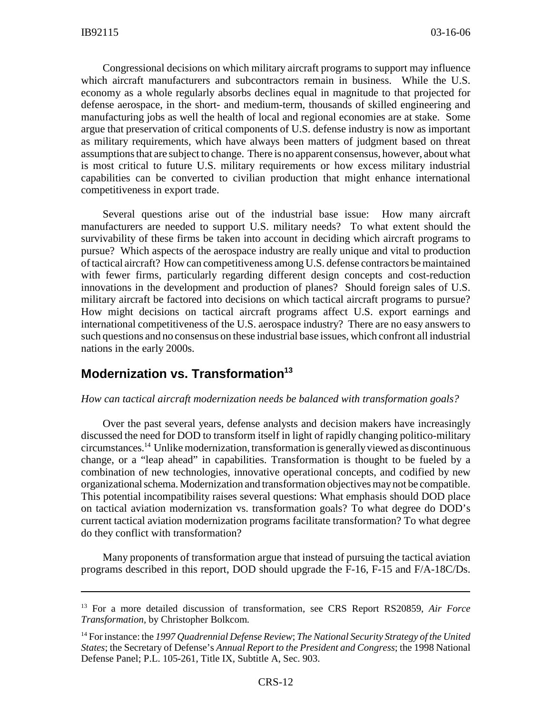Congressional decisions on which military aircraft programs to support may influence which aircraft manufacturers and subcontractors remain in business. While the U.S. economy as a whole regularly absorbs declines equal in magnitude to that projected for defense aerospace, in the short- and medium-term, thousands of skilled engineering and manufacturing jobs as well the health of local and regional economies are at stake. Some argue that preservation of critical components of U.S. defense industry is now as important as military requirements, which have always been matters of judgment based on threat assumptions that are subject to change. There is no apparent consensus, however, about what is most critical to future U.S. military requirements or how excess military industrial capabilities can be converted to civilian production that might enhance international competitiveness in export trade.

Several questions arise out of the industrial base issue: How many aircraft manufacturers are needed to support U.S. military needs? To what extent should the survivability of these firms be taken into account in deciding which aircraft programs to pursue? Which aspects of the aerospace industry are really unique and vital to production of tactical aircraft? How can competitiveness among U.S. defense contractors be maintained with fewer firms, particularly regarding different design concepts and cost-reduction innovations in the development and production of planes? Should foreign sales of U.S. military aircraft be factored into decisions on which tactical aircraft programs to pursue? How might decisions on tactical aircraft programs affect U.S. export earnings and international competitiveness of the U.S. aerospace industry? There are no easy answers to such questions and no consensus on these industrial base issues, which confront all industrial nations in the early 2000s.

## **Modernization vs. Transformation**<sup>13</sup>

#### *How can tactical aircraft modernization needs be balanced with transformation goals?*

Over the past several years, defense analysts and decision makers have increasingly discussed the need for DOD to transform itself in light of rapidly changing politico-military circumstances.14 Unlike modernization, transformation is generally viewed as discontinuous change, or a "leap ahead" in capabilities. Transformation is thought to be fueled by a combination of new technologies, innovative operational concepts, and codified by new organizational schema. Modernization and transformation objectives may not be compatible. This potential incompatibility raises several questions: What emphasis should DOD place on tactical aviation modernization vs. transformation goals? To what degree do DOD's current tactical aviation modernization programs facilitate transformation? To what degree do they conflict with transformation?

Many proponents of transformation argue that instead of pursuing the tactical aviation programs described in this report, DOD should upgrade the F-16, F-15 and F/A-18C/Ds.

<sup>13</sup> For a more detailed discussion of transformation, see CRS Report RS20859, *Air Force Transformation,* by Christopher Bolkcom.

<sup>14</sup> For instance: the *1997 Quadrennial Defense Review*; *The National Security Strategy of the United States*; the Secretary of Defense's *Annual Report to the President and Congress*; the 1998 National Defense Panel; P.L. 105-261, Title IX, Subtitle A, Sec. 903.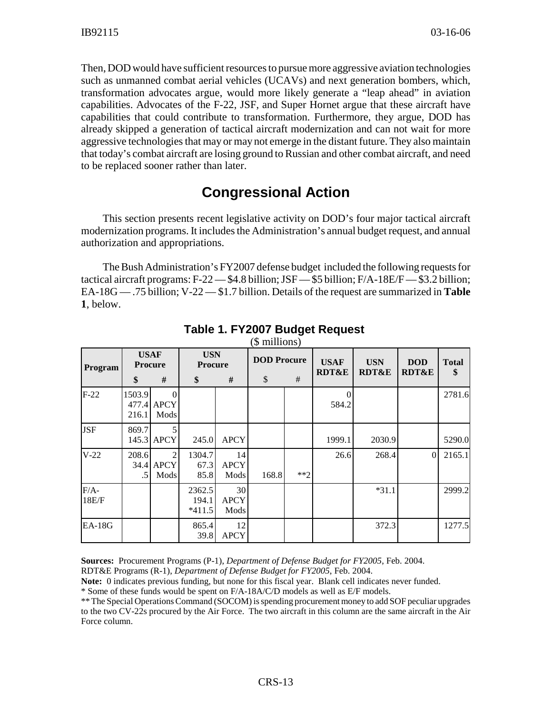Then, DOD would have sufficient resources to pursue more aggressive aviation technologies such as unmanned combat aerial vehicles (UCAVs) and next generation bombers, which, transformation advocates argue, would more likely generate a "leap ahead" in aviation capabilities. Advocates of the F-22, JSF, and Super Hornet argue that these aircraft have capabilities that could contribute to transformation. Furthermore, they argue, DOD has already skipped a generation of tactical aircraft modernization and can not wait for more aggressive technologies that may or may not emerge in the distant future. They also maintain that today's combat aircraft are losing ground to Russian and other combat aircraft, and need to be replaced sooner rather than later.

# **Congressional Action**

This section presents recent legislative activity on DOD's four major tactical aircraft modernization programs. It includes the Administration's annual budget request, and annual authorization and appropriations.

The Bush Administration's FY2007 defense budget included the following requests for tactical aircraft programs: F-22 — \$4.8 billion; JSF — \$5 billion; F/A-18E/F — \$3.2 billion; EA-18G — .75 billion; V-22 — \$1.7 billion. Details of the request are summarized in **Table 1**, below.

| Program         | <b>USAF</b><br><b>Procure</b> |                        | <b>USN</b><br><b>Procure</b> |                           | <b>DOD</b> Procure |       | <b>USAF</b><br><b>RDT&amp;E</b> | <b>USN</b><br><b>RDT&amp;E</b> | <b>DOD</b><br><b>RDT&amp;E</b> | <b>Total</b><br>\$ |
|-----------------|-------------------------------|------------------------|------------------------------|---------------------------|--------------------|-------|---------------------------------|--------------------------------|--------------------------------|--------------------|
|                 | \$                            | #                      | \$                           | #                         | \$                 | #     |                                 |                                |                                |                    |
| $F-22$          | 1503.9<br>216.1               | 477.4 APCY<br>Mods     |                              |                           |                    |       | 584.2                           |                                |                                | 2781.6             |
| <b>JSF</b>      | 869.7                         | 145.3 APCY             | 245.0                        | <b>APCY</b>               |                    |       | 1999.1                          | 2030.9                         |                                | 5290.0             |
| $V-22$          | 208.6<br>.5 <sub>1</sub>      | 2<br>34.4 APCY<br>Mods | 1304.7<br>67.3<br>85.8       | 14<br><b>APCY</b><br>Mods | 168.8              | $**2$ | 26.6                            | 268.4                          | $\overline{0}$                 | 2165.1             |
| $F/A-$<br>18E/F |                               |                        | 2362.5<br>194.1<br>$*411.5$  | 30<br><b>APCY</b><br>Mods |                    |       |                                 | $*31.1$                        |                                | 2999.2             |
| <b>EA-18G</b>   |                               |                        | 865.4<br>39.8                | 12<br><b>APCY</b>         |                    |       |                                 | 372.3                          |                                | 1277.5             |

#### **Table 1. FY2007 Budget Request**   $($  millions)

**Sources:** Procurement Programs (P-1), *Department of Defense Budget for FY2005*, Feb. 2004.

RDT&E Programs (R-1), *Department of Defense Budget for FY2005*, Feb. 2004.

**Note:** 0 indicates previous funding, but none for this fiscal year. Blank cell indicates never funded.

\* Some of these funds would be spent on F/A-18A/C/D models as well as E/F models.

\*\* The Special Operations Command (SOCOM) is spending procurement money to add SOF peculiar upgrades to the two CV-22s procured by the Air Force. The two aircraft in this column are the same aircraft in the Air Force column.